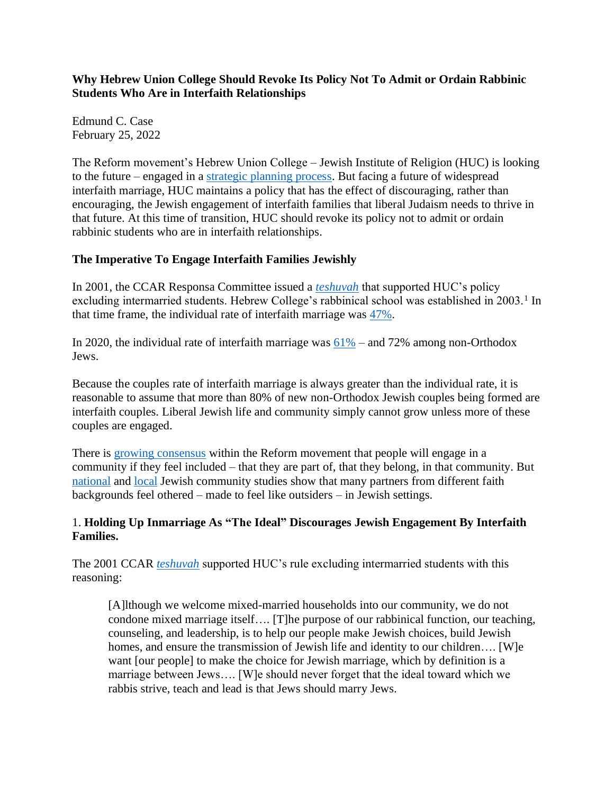**Why Hebrew Union College Should Revoke Its Policy Not To Admit or Ordain Rabbinic Students Who Are in Interfaith Relationships**

Edmund C. Case February 25, 2022

The Reform movement's Hebrew Union College – Jewish Institute of Religion (HUC) is looking to the future – engaged in a [strategic planning process.](http://huc.edu/about/strategic-planning) But facing a future of widespread interfaith marriage, HUC maintains a policy that has the effect of discouraging, rather than encouraging, the Jewish engagement of interfaith families that liberal Judaism needs to thrive in that future. At this time of transition, HUC should revoke its policy not to admit or ordain rabbinic students who are in interfaith relationships.

# **The Imperative To Engage Interfaith Families Jewishly**

In 2001, the CCAR Responsa Committee issued a *[teshuvah](https://www.ccarnet.org/ccar-responsa/nyp-no-5761-6/)* that supported HUC's policy excluding intermarried students. Hebrew College's rabbinical school was established in 2003.<sup>1</sup> In that time frame, the individual rate of interfaith marriage was [47%.](https://www.jewishdatabank.org/content/upload/bjdb/NJPS2000_Strength_Challenge_and_Diversity_in_the_American_Jewish_Population.pdf)

In 2020, the individual rate of interfaith marriage was  $61\%$  – and 72% among non-Orthodox Jews.

Because the couples rate of interfaith marriage is always greater than the individual rate, it is reasonable to assume that more than 80% of new non-Orthodox Jewish couples being formed are interfaith couples. Liberal Jewish life and community simply cannot grow unless more of these couples are engaged.

There is [growing consensus](https://urj.org/blog/welcoming-vs-belonging-key-step-making-our-communities-diverse-and-whole) within the Reform movement that people will engage in a community if they feel included – that they are part of, that they belong, in that community. But [national](https://ejewishphilanthropy.com/the-pew-number-that-matters-72/) and [local](https://www.cfrij.com/what-local-community-studies-tell-us-about-interfaith-family-inclusion/) Jewish community studies show that many partners from different faith backgrounds feel othered – made to feel like outsiders – in Jewish settings.

#### 1. **Holding Up Inmarriage As "The Ideal" Discourages Jewish Engagement By Interfaith Families.**

The 2001 CCAR *[teshuvah](https://www.ccarnet.org/ccar-responsa/nyp-no-5761-6/)* supported HUC's rule excluding intermarried students with this reasoning:

[A]lthough we welcome mixed-married households into our community, we do not condone mixed marriage itself…. [T]he purpose of our rabbinical function, our teaching, counseling, and leadership, is to help our people make Jewish choices, build Jewish homes, and ensure the transmission of Jewish life and identity to our children.... [W]e want [our people] to make the choice for Jewish marriage, which by definition is a marriage between Jews…. [W]e should never forget that the ideal toward which we rabbis strive, teach and lead is that Jews should marry Jews.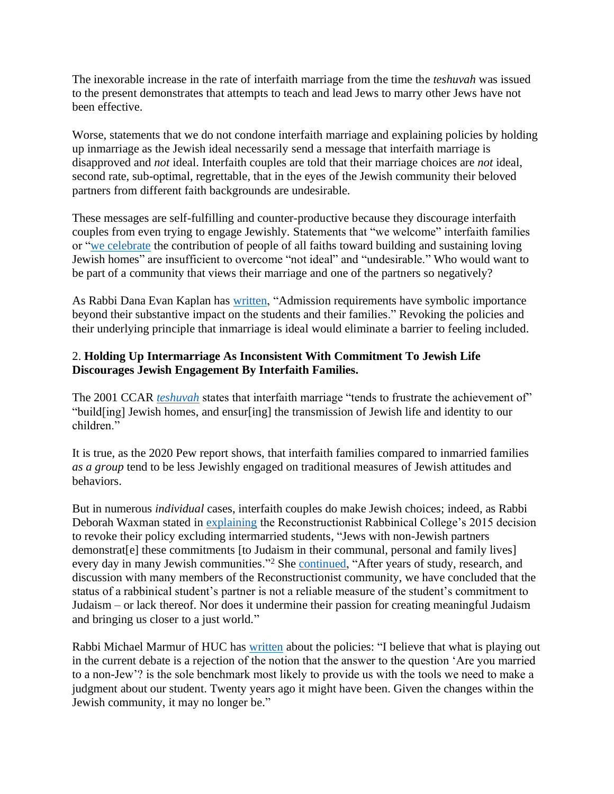The inexorable increase in the rate of interfaith marriage from the time the *teshuvah* was issued to the present demonstrates that attempts to teach and lead Jews to marry other Jews have not been effective.

Worse, statements that we do not condone interfaith marriage and explaining policies by holding up inmarriage as the Jewish ideal necessarily send a message that interfaith marriage is disapproved and *not* ideal. Interfaith couples are told that their marriage choices are *not* ideal, second rate, sub-optimal, regrettable, that in the eyes of the Jewish community their beloved partners from different faith backgrounds are undesirable.

These messages are self-fulfilling and counter-productive because they discourage interfaith couples from even trying to engage Jewishly. Statements that "we welcome" interfaith families or ["we celebrate](http://huc.edu/admissions/policies-and-expectations) the contribution of people of all faiths toward building and sustaining loving Jewish homes" are insufficient to overcome "not ideal" and "undesirable." Who would want to be part of a community that views their marriage and one of the partners so negatively?

As Rabbi Dana Evan Kaplan has [written,](https://f3e1f2e0-2081-46ec-a784-115692054fb0.filesusr.com/ugd/a2c620_9bd4d855bcf94cbd9a647acf2341a276.pdf) "Admission requirements have symbolic importance beyond their substantive impact on the students and their families." Revoking the policies and their underlying principle that inmarriage is ideal would eliminate a barrier to feeling included.

# 2. **Holding Up Intermarriage As Inconsistent With Commitment To Jewish Life Discourages Jewish Engagement By Interfaith Families.**

The 2001 CCAR *[teshuvah](https://www.ccarnet.org/ccar-responsa/nyp-no-5761-6/)* states that interfaith marriage "tends to frustrate the achievement of" "build[ing] Jewish homes, and ensur[ing] the transmission of Jewish life and identity to our children."

It is true, as the 2020 Pew report shows, that interfaith families compared to inmarried families *as a group* tend to be less Jewishly engaged on traditional measures of Jewish attitudes and behaviors.

But in numerous *individual* cases, interfaith couples do make Jewish choices; indeed, as Rabbi Deborah Waxman stated in [explaining](https://jewishweek.timesofisrael.com/reconstructionists-to-ordain-rabbis-in-interfaith-relationships/#Hj3kuUhHQSjsIXLW.99) the Reconstructionist Rabbinical College's 2015 decision to revoke their policy excluding intermarried students, "Jews with non-Jewish partners demonstrat[e] these commitments [to Judaism in their communal, personal and family lives] every day in many Jewish communities."<sup>2</sup> She [continued,](https://archive.rrc.edu/news-media/news/rrcs-non-jewish-partner-policy-announced) "After years of study, research, and discussion with many members of the Reconstructionist community, we have concluded that the status of a rabbinical student's partner is not a reliable measure of the student's commitment to Judaism – or lack thereof. Nor does it undermine their passion for creating meaningful Judaism and bringing us closer to a just world."

Rabbi Michael Marmur of HUC has [written](http://www.cfrij.com/wp-content/uploads/2020/11/Marmur-May-26-2013.pdf.) about the policies: "I believe that what is playing out in the current debate is a rejection of the notion that the answer to the question 'Are you married to a non-Jew'? is the sole benchmark most likely to provide us with the tools we need to make a judgment about our student. Twenty years ago it might have been. Given the changes within the Jewish community, it may no longer be."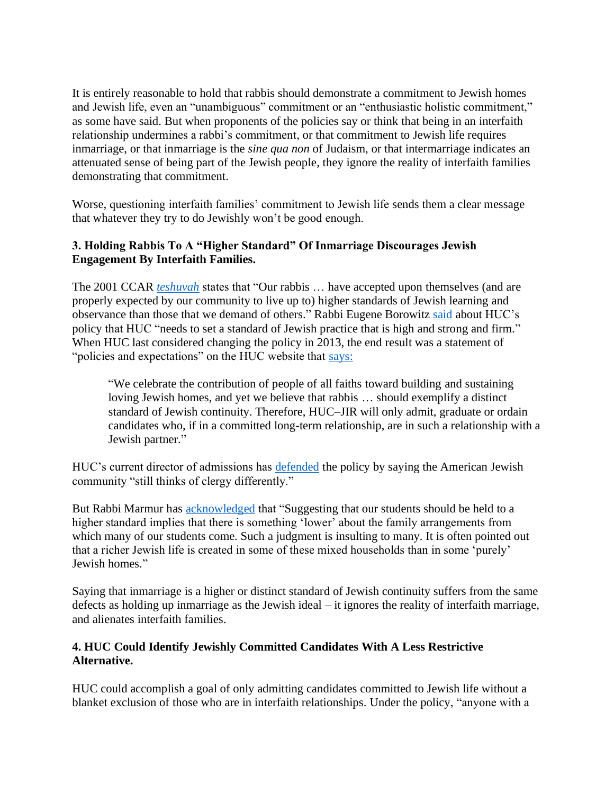It is entirely reasonable to hold that rabbis should demonstrate a commitment to Jewish homes and Jewish life, even an "unambiguous" commitment or an "enthusiastic holistic commitment," as some have said. But when proponents of the policies say or think that being in an interfaith relationship undermines a rabbi's commitment, or that commitment to Jewish life requires inmarriage, or that inmarriage is the *sine qua non* of Judaism, or that intermarriage indicates an attenuated sense of being part of the Jewish people, they ignore the reality of interfaith families demonstrating that commitment.

Worse, questioning interfaith families' commitment to Jewish life sends them a clear message that whatever they try to do Jewishly won't be good enough.

### **3. Holding Rabbis To A "Higher Standard" Of Inmarriage Discourages Jewish Engagement By Interfaith Families.**

The 2001 CCAR *[teshuvah](https://www.ccarnet.org/ccar-responsa/nyp-no-5761-6/)* states that "Our rabbis … have accepted upon themselves (and are properly expected by our community to live up to) higher standards of Jewish learning and observance than those that we demand of others." Rabbi Eugene Borowitz [said](ttp://shma.%20com/2013/05/renewing-the-covenant-david-ellenson-eugene-borowitz-in-conversation/) about HUC's policy that HUC "needs to set a standard of Jewish practice that is high and strong and firm." When HUC last considered changing the policy in 2013, the end result was a statement of "policies and expectations" on the HUC website that [says:](http://huc.edu/admissions/policies-and-expectations)

"We celebrate the contribution of people of all faiths toward building and sustaining loving Jewish homes, and yet we believe that rabbis … should exemplify a distinct standard of Jewish continuity. Therefore, HUC–JIR will only admit, graduate or ordain candidates who, if in a committed long-term relationship, are in such a relationship with a Jewish partner."

HUC's current director of admissions has [defended](https://forward.com/news/463761/as-more-american-jews-intermarry-seminaries-face-calls-to-ordain/) the policy by saying the American Jewish community "still thinks of clergy differently."

But Rabbi Marmur has [acknowledged](http://www.cfrij.com/wp-content/uploads/2020/11/Marmur-May-26-2013.pdf.) that "Suggesting that our students should be held to a higher standard implies that there is something 'lower' about the family arrangements from which many of our students come. Such a judgment is insulting to many. It is often pointed out that a richer Jewish life is created in some of these mixed households than in some 'purely' Jewish homes."

Saying that inmarriage is a higher or distinct standard of Jewish continuity suffers from the same defects as holding up inmarriage as the Jewish ideal – it ignores the reality of interfaith marriage, and alienates interfaith families.

# **4. HUC Could Identify Jewishly Committed Candidates With A Less Restrictive Alternative.**

HUC could accomplish a goal of only admitting candidates committed to Jewish life without a blanket exclusion of those who are in interfaith relationships. Under the policy, "anyone with a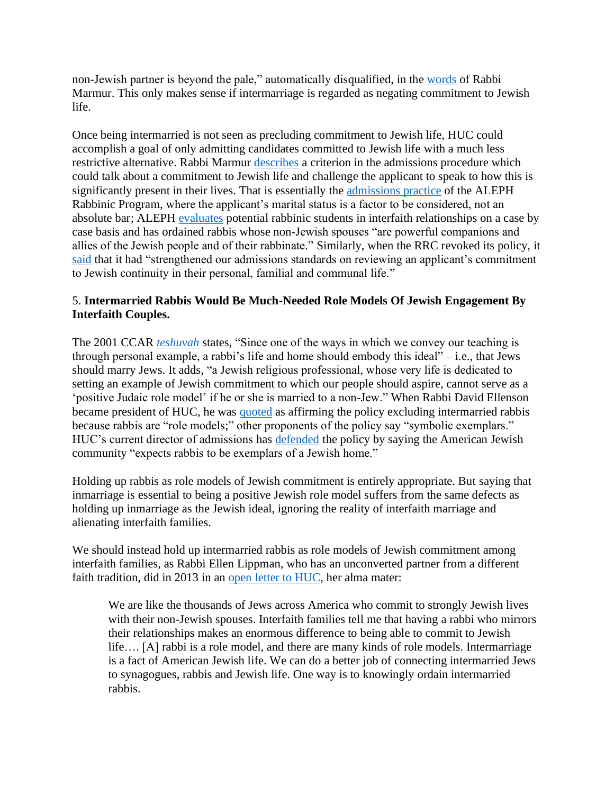non-Jewish partner is beyond the pale," automatically disqualified, in the [words](http://www.cfrij.com/wp-content/uploads/2020/11/Marmur-May-26-2013.pdf) of Rabbi Marmur. This only makes sense if intermarriage is regarded as negating commitment to Jewish life.

Once being intermarried is not seen as precluding commitment to Jewish life, HUC could accomplish a goal of only admitting candidates committed to Jewish life with a much less restrictive alternative. Rabbi Marmur [describes](http://www.cfrij.com/wp-content/uploads/2020/11/Marmur-May-26-2013.pdf) a criterion in the admissions procedure which could talk about a commitment to Jewish life and challenge the applicant to speak to how this is significantly present in their lives. That is essentially the [admissions practice](http://www.cfrij.com/my-experience-as-an-intermarried-rabbi/) of the ALEPH Rabbinic Program, where the applicant's marital status is a factor to be considered, not an absolute bar; ALEPH [evaluates](https://f3e1f2e0-2081-46ec-a784-115692054fb0.filesusr.com/ugd/a2c620_9bd4d855bcf94cbd9a647acf2341a276.pdf) potential rabbinic students in interfaith relationships on a case by case basis and has ordained rabbis whose non-Jewish spouses "are powerful companions and allies of the Jewish people and of their rabbinate." Similarly, when the RRC revoked its policy, it [said](https://archive.rrc.edu/news-media/news/rrcs-non-jewish-partner-policy-announced) that it had "strengthened our admissions standards on reviewing an applicant's commitment to Jewish continuity in their personal, familial and communal life."

# 5. **Intermarried Rabbis Would Be Much-Needed Role Models Of Jewish Engagement By Interfaith Couples.**

The 2001 CCAR *[teshuvah](https://www.ccarnet.org/ccar-responsa/nyp-no-5761-6/)* states, "Since one of the ways in which we convey our teaching is through personal example, a rabbi's life and home should embody this ideal" – i.e., that Jews should marry Jews. It adds, "a Jewish religious professional, whose very life is dedicated to setting an example of Jewish commitment to which our people should aspire, cannot serve as a 'positive Judaic role model' if he or she is married to a non-Jew." When Rabbi David Ellenson became president of HUC, he was [quoted](https://www.cfrij.com/rabbinical-school-and-the-interfaith-marriage-part-2/) as affirming the policy excluding intermarried rabbis because rabbis are "role models;" other proponents of the policy say "symbolic exemplars." HUC's current director of admissions has [defended](https://forward.com/news/463761/as-more-american-jews-intermarry-seminaries-face-calls-to-ordain/) the policy by saying the American Jewish community "expects rabbis to be exemplars of a Jewish home."

Holding up rabbis as role models of Jewish commitment is entirely appropriate. But saying that inmarriage is essential to being a positive Jewish role model suffers from the same defects as holding up inmarriage as the Jewish ideal, ignoring the reality of interfaith marriage and alienating interfaith families.

We should instead hold up intermarried rabbis as role models of Jewish commitment among interfaith families, as Rabbi Ellen Lippman, who has an unconverted partner from a different faith tradition, did in 2013 in an [open letter to HUC,](https://forward.com/opinion/176823/reform-rabbi-urges-hebrew-union-college-to-reconsi/) her alma mater:

We are like the thousands of Jews across America who commit to strongly Jewish lives with their non-Jewish spouses. Interfaith families tell me that having a rabbi who mirrors their relationships makes an enormous difference to being able to commit to Jewish life…. [A] rabbi is a role model, and there are many kinds of role models. Intermarriage is a fact of American Jewish life. We can do a better job of connecting intermarried Jews to synagogues, rabbis and Jewish life. One way is to knowingly ordain intermarried rabbis.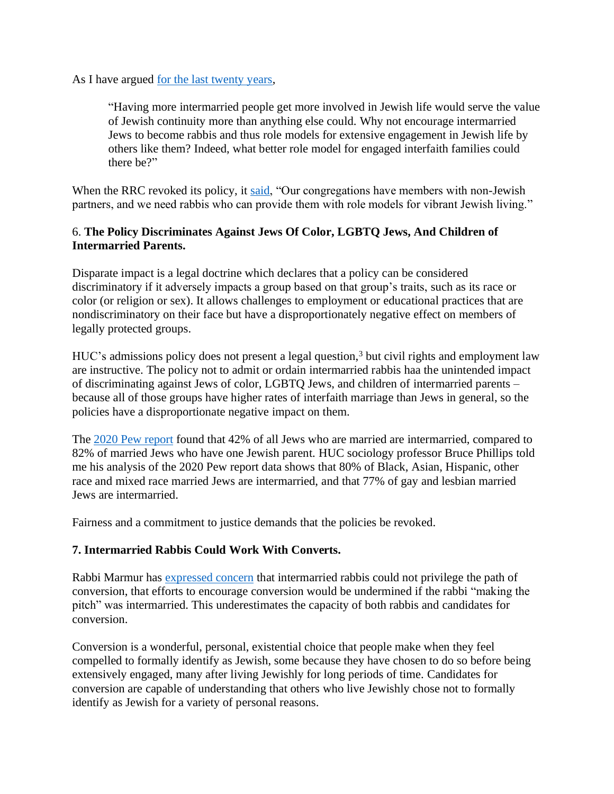As I have argued <u>for the last twenty years</u>,

"Having more intermarried people get more involved in Jewish life would serve the value of Jewish continuity more than anything else could. Why not encourage intermarried Jews to become rabbis and thus role models for extensive engagement in Jewish life by others like them? Indeed, what better role model for engaged interfaith families could there be?"

When the RRC revoked its policy, it [said,](https://archive.rrc.edu/news-media/news/rrcs-non-jewish-partner-policy-announced) "Our congregations have members with non-Jewish partners, and we need rabbis who can provide them with role models for vibrant Jewish living."

# 6. **The Policy Discriminates Against Jews Of Color, LGBTQ Jews, And Children of Intermarried Parents.**

Disparate impact is a legal doctrine which declares that a policy can be considered discriminatory if it adversely impacts a group based on that group's traits, such as its race or color (or religion or sex). It allows challenges to employment or educational practices that are nondiscriminatory on their face but have a disproportionately negative effect on members of legally protected groups.

HUC's admissions policy does not present a legal question, <sup>3</sup> but civil rights and employment law are instructive. The policy not to admit or ordain intermarried rabbis haa the unintended impact of discriminating against Jews of color, LGBTQ Jews, and children of intermarried parents – because all of those groups have higher rates of interfaith marriage than Jews in general, so the policies have a disproportionate negative impact on them.

The [2020 Pew report](https://www.pewforum.org/2021/05/11/jewish-americans-in-2020/) found that 42% of all Jews who are married are intermarried, compared to 82% of married Jews who have one Jewish parent. HUC sociology professor Bruce Phillips told me his analysis of the 2020 Pew report data shows that 80% of Black, Asian, Hispanic, other race and mixed race married Jews are intermarried, and that 77% of gay and lesbian married Jews are intermarried.

Fairness and a commitment to justice demands that the policies be revoked.

# **7. Intermarried Rabbis Could Work With Converts.**

Rabbi Marmur has [expressed concern](http://www.cfrij.com/wp-content/uploads/2020/11/Marmur-May-26-2013.pdf.) that intermarried rabbis could not privilege the path of conversion, that efforts to encourage conversion would be undermined if the rabbi "making the pitch" was intermarried. This underestimates the capacity of both rabbis and candidates for conversion.

Conversion is a wonderful, personal, existential choice that people make when they feel compelled to formally identify as Jewish, some because they have chosen to do so before being extensively engaged, many after living Jewishly for long periods of time. Candidates for conversion are capable of understanding that others who live Jewishly chose not to formally identify as Jewish for a variety of personal reasons.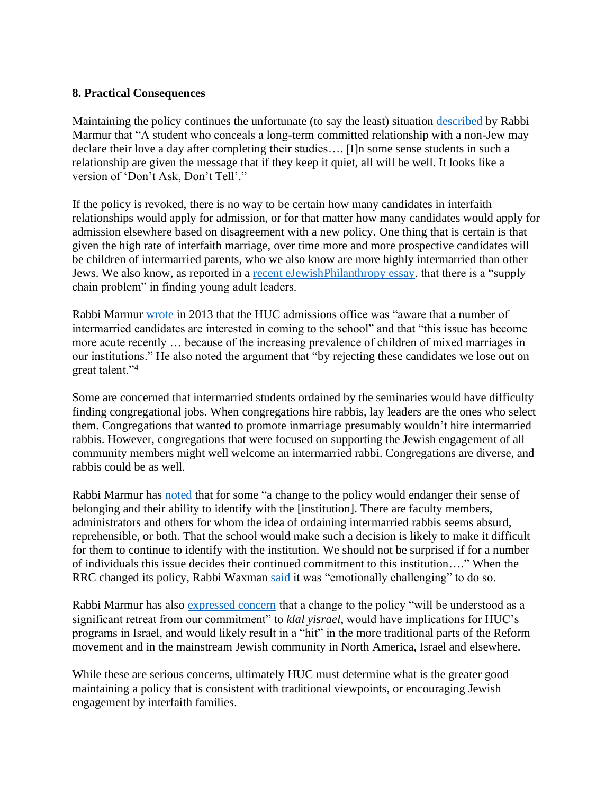#### **8. Practical Consequences**

Maintaining the policy continues the unfortunate (to say the least) situation [described](http://www.cfrij.com/wp-content/uploads/2020/11/Marmur-May-26-2013.pdf.) by Rabbi Marmur that "A student who conceals a long-term committed relationship with a non-Jew may declare their love a day after completing their studies…. [I]n some sense students in such a relationship are given the message that if they keep it quiet, all will be well. It looks like a version of 'Don't Ask, Don't Tell'."

If the policy is revoked, there is no way to be certain how many candidates in interfaith relationships would apply for admission, or for that matter how many candidates would apply for admission elsewhere based on disagreement with a new policy. One thing that is certain is that given the high rate of interfaith marriage, over time more and more prospective candidates will be children of intermarried parents, who we also know are more highly intermarried than other Jews. We also know, as reported in a [recent eJewishPhilanthropy essay,](https://ejewishphilanthropy.com/what-will-we-do-when-there-are-no-more-charlies/) that there is a "supply chain problem" in finding young adult leaders.

Rabbi Marmur [wrote](http://www.cfrij.com/wp-content/uploads/2020/11/Marmur-May-26-2013.pdf.) in 2013 that the HUC admissions office was "aware that a number of intermarried candidates are interested in coming to the school" and that "this issue has become more acute recently … because of the increasing prevalence of children of mixed marriages in our institutions." He also noted the argument that "by rejecting these candidates we lose out on great talent."<sup>4</sup>

Some are concerned that intermarried students ordained by the seminaries would have difficulty finding congregational jobs. When congregations hire rabbis, lay leaders are the ones who select them. Congregations that wanted to promote inmarriage presumably wouldn't hire intermarried rabbis. However, congregations that were focused on supporting the Jewish engagement of all community members might well welcome an intermarried rabbi. Congregations are diverse, and rabbis could be as well.

Rabbi Marmur has [noted](http://www.cfrij.com/wp-content/uploads/2020/11/Marmur-May-26-2013.pdf.) that for some "a change to the policy would endanger their sense of belonging and their ability to identify with the [institution]. There are faculty members, administrators and others for whom the idea of ordaining intermarried rabbis seems absurd, reprehensible, or both. That the school would make such a decision is likely to make it difficult for them to continue to identify with the institution. We should not be surprised if for a number of individuals this issue decides their continued commitment to this institution…." When the RRC changed its policy, Rabbi Waxman [said](https://archive.rrc.edu/news-media/news/rrcs-non-jewish-partner-policy-announced) it was "emotionally challenging" to do so.

Rabbi Marmur has also [expressed concern](http://www.cfrij.com/wp-content/uploads/2020/11/Marmur-May-26-2013.pdf.) that a change to the policy "will be understood as a significant retreat from our commitment" to *klal yisrael*, would have implications for HUC's programs in Israel, and would likely result in a "hit" in the more traditional parts of the Reform movement and in the mainstream Jewish community in North America, Israel and elsewhere.

While these are serious concerns, ultimately HUC must determine what is the greater good – maintaining a policy that is consistent with traditional viewpoints, or encouraging Jewish engagement by interfaith families.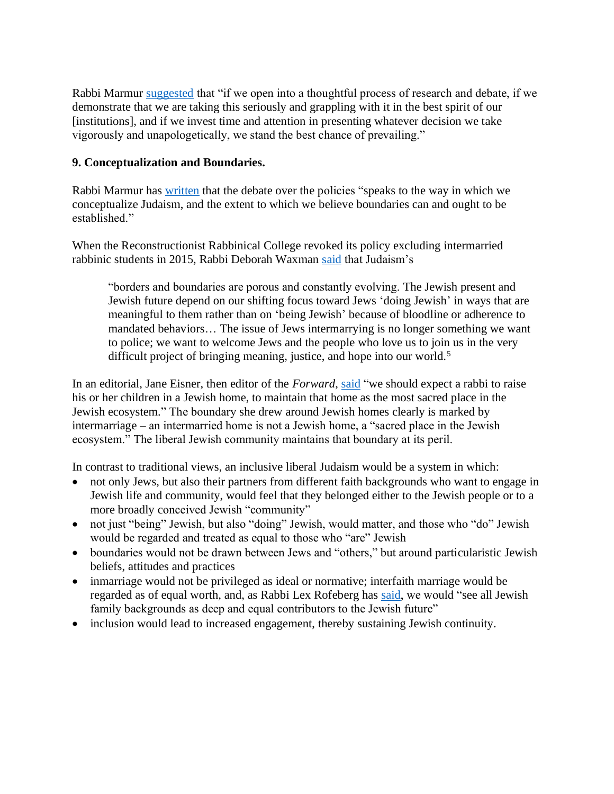Rabbi Marmur [suggested](http://www.cfrij.com/wp-content/uploads/2020/11/Marmur-May-26-2013.pdf.) that "if we open into a thoughtful process of research and debate, if we demonstrate that we are taking this seriously and grappling with it in the best spirit of our [institutions], and if we invest time and attention in presenting whatever decision we take vigorously and unapologetically, we stand the best chance of prevailing."

# **9. Conceptualization and Boundaries.**

Rabbi Marmur has [written](http://www.cfrij.com/wp-content/uploads/2020/11/Marmur-May-26-2013.pdf.) that the debate over the policies "speaks to the way in which we conceptualize Judaism, and the extent to which we believe boundaries can and ought to be established."

When the Reconstructionist Rabbinical College revoked its policy excluding intermarried rabbinic students in 2015, Rabbi Deborah Waxman [said](https://archive.rrc.edu/news-media/news/rrcs-non-jewish-partner-policy-announced) that Judaism's

"borders and boundaries are porous and constantly evolving. The Jewish present and Jewish future depend on our shifting focus toward Jews 'doing Jewish' in ways that are meaningful to them rather than on 'being Jewish' because of bloodline or adherence to mandated behaviors… The issue of Jews intermarrying is no longer something we want to police; we want to welcome Jews and the people who love us to join us in the very difficult project of bringing meaning, justice, and hope into our world.<sup>5</sup>

In an editorial, Jane Eisner, then editor of the *Forward*, [said](http://forward.com/opinion/editorial/322258/why-rabbis-shouldnt-marry-non-jews) "we should expect a rabbi to raise his or her children in a Jewish home, to maintain that home as the most sacred place in the Jewish ecosystem." The boundary she drew around Jewish homes clearly is marked by intermarriage – an intermarried home is not a Jewish home, a "sacred place in the Jewish ecosystem." The liberal Jewish community maintains that boundary at its peril.

In contrast to traditional views, an inclusive liberal Judaism would be a system in which:

- not only Jews, but also their partners from different faith backgrounds who want to engage in Jewish life and community, would feel that they belonged either to the Jewish people or to a more broadly conceived Jewish "community"
- not just "being" Jewish, but also "doing" Jewish, would matter, and those who "do" Jewish would be regarded and treated as equal to those who "are" Jewish
- boundaries would not be drawn between Jews and "others," but around particularistic Jewish beliefs, attitudes and practices
- inmarriage would not be privileged as ideal or normative; interfaith marriage would be regarded as of equal worth, and, as Rabbi Lex Rofeberg has [said,](https://forward.com/news/463761/as-more-american-jews-intermarry-seminaries-face-calls-to-ordain/) we would "see all Jewish family backgrounds as deep and equal contributors to the Jewish future"
- inclusion would lead to increased engagement, thereby sustaining Jewish continuity.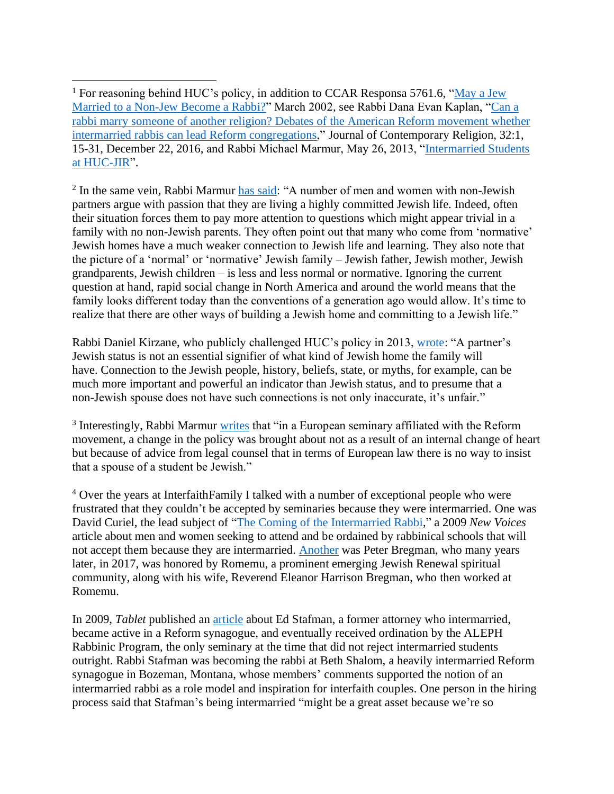$2$  In the same vein, Rabbi Marmur [has said:](http://www.cfrij.com/wp-content/uploads/2020/11/Marmur-May-26-2013.pdf) "A number of men and women with non-Jewish partners argue with passion that they are living a highly committed Jewish life. Indeed, often their situation forces them to pay more attention to questions which might appear trivial in a family with no non-Jewish parents. They often point out that many who come from 'normative' Jewish homes have a much weaker connection to Jewish life and learning. They also note that the picture of a 'normal' or 'normative' Jewish family – Jewish father, Jewish mother, Jewish grandparents, Jewish children – is less and less normal or normative. Ignoring the current question at hand, rapid social change in North America and around the world means that the family looks different today than the conventions of a generation ago would allow. It's time to realize that there are other ways of building a Jewish home and committing to a Jewish life."

Rabbi Daniel Kirzane, who publicly challenged HUC's policy in 2013, [wrote:](http://shma.com/rabbinic-life-partners-do-they-have-to-be-jewish/) "A partner's Jewish status is not an essential signifier of what kind of Jewish home the family will have. Connection to the Jewish people, history, beliefs, state, or myths, for example, can be much more important and powerful an indicator than Jewish status, and to presume that a non-Jewish spouse does not have such connections is not only inaccurate, it's unfair."

<sup>3</sup> Interestingly, Rabbi Marmur [writes](http://www.cfrij.com/wp-content/uploads/2020/11/Marmur-May-26-2013.pdf) that "in a European seminary affiliated with the Reform movement, a change in the policy was brought about not as a result of an internal change of heart but because of advice from legal counsel that in terms of European law there is no way to insist that a spouse of a student be Jewish."

<sup>4</sup> Over the years at InterfaithFamily I talked with a number of exceptional people who were frustrated that they couldn't be accepted by seminaries because they were intermarried. One was David Curiel, the lead subject of ["The Coming of the Intermarried Rabbi,](http://newvoices.org/2009/04/23/0007-3)" a 2009 *New Voices* article about men and women seeking to attend and be ordained by rabbinical schools that will not accept them because they are intermarried. [Another](http://www.edmundcase.com/inclusion-and-welcoming/where-might-interfaith-families-find-welcoming-jewish-communities) was Peter Bregman, who many years later, in 2017, was honored by Romemu, a prominent emerging Jewish Renewal spiritual community, along with his wife, Reverend Eleanor Harrison Bregman, who then worked at Romemu.

In 2009, *Tablet* published an [article](http://www.tabletmag.com/jewish-life-and-religion/13034/big-tent-country) about Ed Stafman, a former attorney who intermarried, became active in a Reform synagogue, and eventually received ordination by the ALEPH Rabbinic Program, the only seminary at the time that did not reject intermarried students outright. Rabbi Stafman was becoming the rabbi at Beth Shalom, a heavily intermarried Reform synagogue in Bozeman, Montana, whose members' comments supported the notion of an intermarried rabbi as a role model and inspiration for interfaith couples. One person in the hiring process said that Stafman's being intermarried "might be a great asset because we're so

<sup>&</sup>lt;sup>1</sup> For reasoning behind HUC's policy, in addition to CCAR Responsa 5761.6, "May a Jew [Married to a Non-Jew Become a Rabbi?"](https://www.ccarnet.org/ccar-responsa/nyp-no-5761-6) March 2002, see Rabbi Dana Evan Kaplan, ["Can a](https://f3e1f2e0-2081-46ec-a784-115692054fb0.filesusr.com/ugd/a2c620_9bd4d855bcf94cbd9a647acf2341a276.pdf)  [rabbi marry someone of another religion? Debates of the American Reform movement whether](https://f3e1f2e0-2081-46ec-a784-115692054fb0.filesusr.com/ugd/a2c620_9bd4d855bcf94cbd9a647acf2341a276.pdf)  [intermarried rabbis can lead Reform congregations,](https://f3e1f2e0-2081-46ec-a784-115692054fb0.filesusr.com/ugd/a2c620_9bd4d855bcf94cbd9a647acf2341a276.pdf)" Journal of Contemporary Religion, 32:1, 15-31, December 22, 2016, and Rabbi Michael Marmur, May 26, 2013, ["Intermarried Students](http://www.cfrij.com/wp-content/uploads/2020/11/Marmur-May-26-2013.pdf)  [at HUC-JIR"](http://www.cfrij.com/wp-content/uploads/2020/11/Marmur-May-26-2013.pdf).